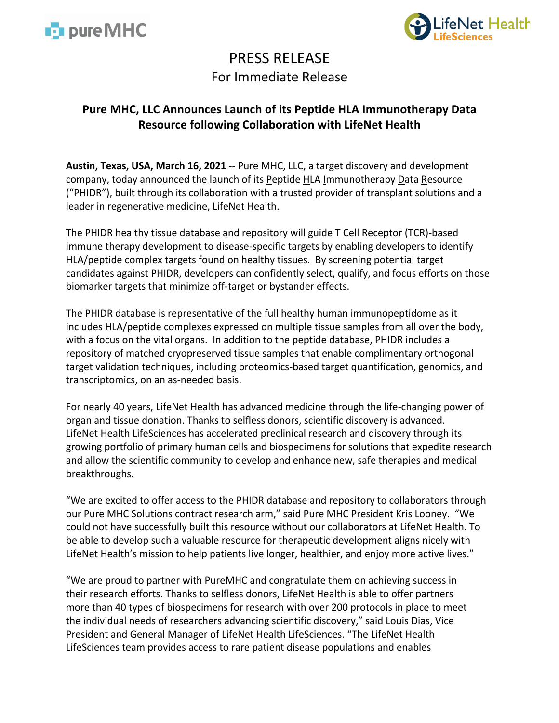



# PRESS RELEASE For Immediate Release

## **Pure MHC, LLC Announces Launch of its Peptide HLA Immunotherapy Data Resource following Collaboration with LifeNet Health**

**Austin, Texas, USA, March 16, 2021** -- Pure MHC, LLC, a target discovery and development company, today announced the launch of its Peptide HLA Immunotherapy Data Resource ("PHIDR"), built through its collaboration with a trusted provider of transplant solutions and a leader in regenerative medicine, LifeNet Health.

The PHIDR healthy tissue database and repository will guide T Cell Receptor (TCR)-based immune therapy development to disease-specific targets by enabling developers to identify HLA/peptide complex targets found on healthy tissues. By screening potential target candidates against PHIDR, developers can confidently select, qualify, and focus efforts on those biomarker targets that minimize off-target or bystander effects.

The PHIDR database is representative of the full healthy human immunopeptidome as it includes HLA/peptide complexes expressed on multiple tissue samples from all over the body, with a focus on the vital organs. In addition to the peptide database, PHIDR includes a repository of matched cryopreserved tissue samples that enable complimentary orthogonal target validation techniques, including proteomics-based target quantification, genomics, and transcriptomics, on an as-needed basis.

For nearly 40 years, LifeNet Health has advanced medicine through the life-changing power of organ and tissue donation. Thanks to selfless donors, scientific discovery is advanced. LifeNet Health LifeSciences has accelerated preclinical research and discovery through its growing portfolio of primary human cells and biospecimens for solutions that expedite research and allow the scientific community to develop and enhance new, safe therapies and medical breakthroughs.

"We are excited to offer access to the PHIDR database and repository to collaborators through our Pure MHC Solutions contract research arm," said Pure MHC President Kris Looney. "We could not have successfully built this resource without our collaborators at LifeNet Health. To be able to develop such a valuable resource for therapeutic development aligns nicely with LifeNet Health's mission to help patients live longer, healthier, and enjoy more active lives."

"We are proud to partner with PureMHC and congratulate them on achieving success in their research efforts. Thanks to selfless donors, LifeNet Health is able to offer partners more than 40 types of biospecimens for research with over 200 protocols in place to meet the individual needs of researchers advancing scientific discovery," said Louis Dias, Vice President and General Manager of LifeNet Health LifeSciences. "The LifeNet Health LifeSciences team provides access to rare patient disease populations and enables